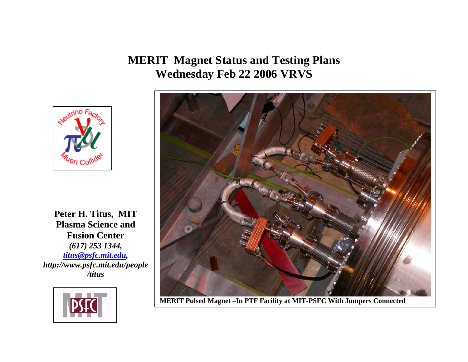**MERIT Magnet Status and Testing Plans Wednesday Feb 22 2006 VRVS**



**Peter H. Titus, MIT Plasma Science and Fusion Center**  *(617) 253 1344, titus@psfc.mit.edu, http://www.psfc.mit.edu/people /titus*





**MERIT Pulsed Magnet –In PTF Facility at MIT-PSFC With Jumpers Connected**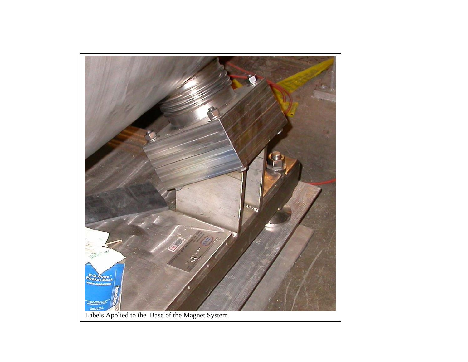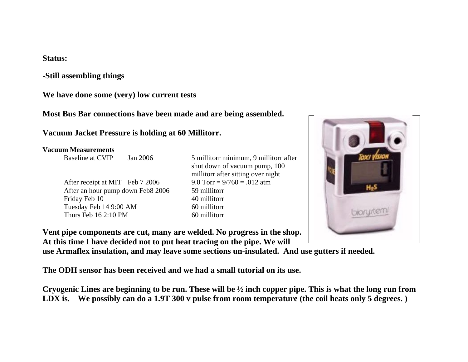### **Status:**

**-Still assembling things** 

**We have done some (very) low current tests** 

**Most Bus Bar connections have been made and are being assembled.** 

### **Vacuum Jacket Pressure is holding at 60 Millitorr.**

#### **Vacuum Measurements**

After receipt at MIT Feb 7 2006 9.0 Torr =  $9/760 = .012$  atm After an hour pump down Feb8 2006 59 millitorr Friday Feb 10 40 millitorr Tuesday Feb 14 9:00 AM 60 millitorr Thurs Feb  $16\,2:10\,$  PM 60 millitorr

Baseline at CVIP Jan 2006 5 millitorr minimum, 9 millitorr after shut down of vacuum pump, 100 millitorr after sitting over night



**Vent pipe components are cut, many are welded. No progress in the shop. At this time I have decided not to put heat tracing on the pipe. We will** 

**use Armaflex insulation, and may leave some sections un-insulated. And use gutters if needed.** 

**The ODH sensor has been received and we had a small tutorial on its use.** 

**Cryogenic Lines are beginning to be run. These will be ½ inch copper pipe. This is what the long run from LDX is. We possibly can do a 1.9T 300 v pulse from room temperature (the coil heats only 5 degrees. )**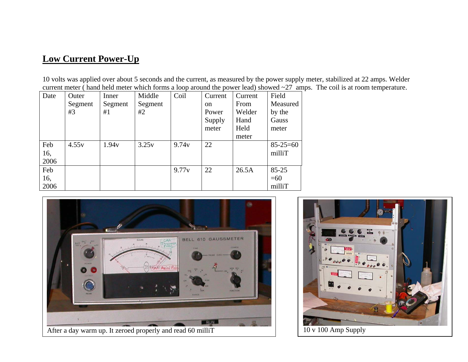## **Low Current Power-Up**

10 volts was applied over about 5 seconds and the current, as measured by the power supply meter, stabilized at 22 amps. Welder current meter ( hand held meter which forms a loop around the power lead) showed ~27 amps. The coil is at room temperature.

| Date | Outer   | Inner   | Middle  | Coil              | Current       | Current | Field          |
|------|---------|---------|---------|-------------------|---------------|---------|----------------|
|      | Segment | Segment | Segment |                   | <sub>on</sub> | From    | Measured       |
|      | #3      | #1      | #2      |                   | Power         | Welder  | by the         |
|      |         |         |         |                   | Supply        | Hand    | Gauss          |
|      |         |         |         |                   | meter         | Held    | meter          |
|      |         |         |         |                   |               | meter   |                |
| Feb  | 4.55v   | 1.94v   | 3.25v   | 9.74y             | 22            |         | $85 - 25 = 60$ |
| 16,  |         |         |         |                   |               |         | milliT         |
| 2006 |         |         |         |                   |               |         |                |
| Feb  |         |         |         | 9.77 <sub>v</sub> | 22            | 26.5A   | $85 - 25$      |
| 16,  |         |         |         |                   |               |         | $=60$          |
| 2006 |         |         |         |                   |               |         | milliT         |



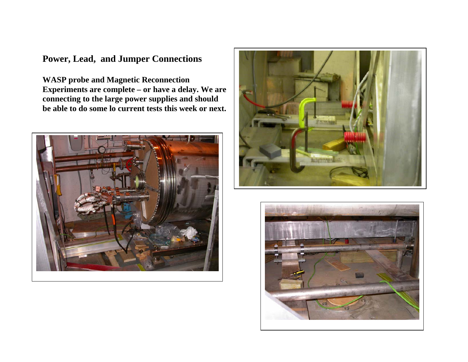# **Power, Lead, and Jumper Connections**

**WASP probe and Magnetic Reconnection Experiments are complete – or have a delay. We are connecting to the large power supplies and should be able to do some lo current tests this week or next.** 





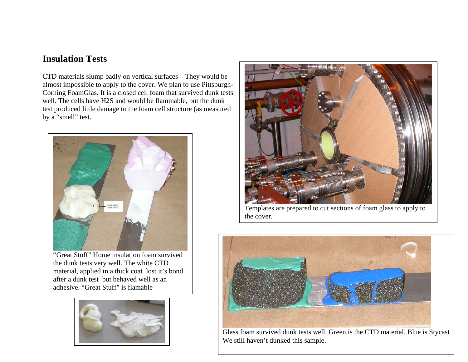## **Insulation Tests**

CTD materials slump badly on vertical surfaces – They would be almost impossible to apply to the cover. We plan to use Pittsburgh-Corning FoamGlas. It is a closed cell foam that survived dunk tests well. The cells have H2S and would be flammable, but the dunk test produced little damage to the foam cell structure (as measured by a "smell" test.



"Great Stuff" Home insulation foam survived the dunk tests very well. The white CTD material, applied in a thick coat lost it's bond after a dunk test but behaved well as an adhesive. "Great Stuff" is flamable





Templates are prepared to cut sections of foam glass to apply to the cover.



Glass foam survived dunk tests well. Green is the CTD material. Blue is Stycast We still haven't dunked this sample.